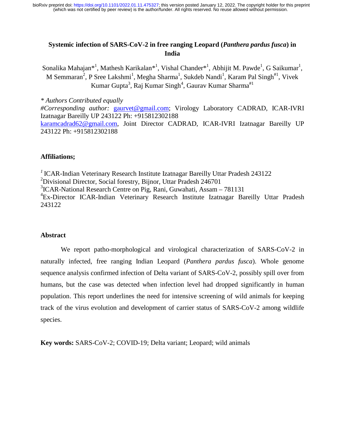## **Systemic infection of SARS-CoV-2 in free ranging Leopard (***Panthera pardus fusca***) in India**

Sonalika Mahajan\*<sup>1</sup>, Mathesh Karikalan\*<sup>1</sup>, Vishal Chander\*<sup>1</sup>, Abhijit M. Pawde<sup>1</sup>, G Saikumar<sup>1</sup>, M Semmaran<sup>2</sup>, P Sree Lakshmi<sup>1</sup>, Megha Sharma<sup>1</sup>, Sukdeb Nandi<sup>1</sup>, Karam Pal Singh<sup>#1</sup>, Vivek Kumar Gupta<sup>3</sup>, Raj Kumar Singh<sup>4</sup>, Gaurav Kumar Sharma<sup>#1</sup>

*\* Authors Contributed equally #Corresponding author:* gaurvet@gmail.com; Virology Laboratory CADRAD, ICAR-IVRI Izatnagar Bareilly UP 243122 Ph: +915812302188 karamcadrad62@gmail.com, Joint Director CADRAD, ICAR-IVRI Izatnagar Bareilly UP 243122 Ph: +915812302188

## **Affiliations;**

*<sup>1</sup>*ICAR-Indian Veterinary Research Institute Izatnagar Bareilly Uttar Pradesh 243122 <sup>2</sup>Divisional Director, Social forestry, Bijnor, Uttar Pradesh 246701 <sup>3</sup>ICAR-National Research Centre on Pig, Rani, Guwahati, Assam – 781131 4 Ex-Director ICAR-Indian Veterinary Research Institute Izatnagar Bareilly Uttar Pradesh 243122

## **Abstract**

We report patho-morphological and virological characterization of SARS-CoV-2 in naturally infected, free ranging Indian Leopard (*Panthera pardus fusca*). Whole genome sequence analysis confirmed infection of Delta variant of SARS-CoV-2, possibly spill over from humans, but the case was detected when infection level had dropped significantly in human population. This report underlines the need for intensive screening of wild animals for keeping track of the virus evolution and development of carrier status of SARS-CoV-2 among wildlife species.

**Key words:** SARS-CoV-2; COVID-19; Delta variant; Leopard; wild animals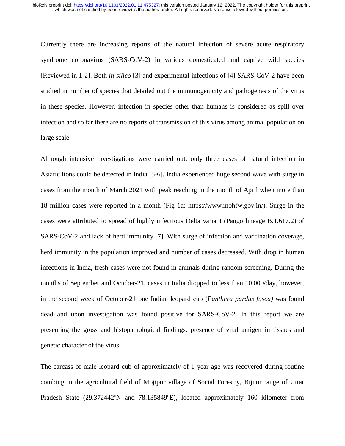Currently there are increasing reports of the natural infection of severe acute respiratory syndrome coronavirus (SARS-CoV-2) in various domesticated and captive wild species [Reviewed in 1-2]. Both *in-silico* [3] and experimental infections of [4] SARS-CoV-2 have been studied in number of species that detailed out the immunogenicity and pathogenesis of the virus in these species. However, infection in species other than humans is considered as spill over infection and so far there are no reports of transmission of this virus among animal population on large scale.

Although intensive investigations were carried out, only three cases of natural infection in Asiatic lions could be detected in India [5-6]. India experienced huge second wave with surge in cases from the month of March 2021 with peak reaching in the month of April when more than 18 million cases were reported in a month (Fig 1a; https://www.mohfw.gov.in/). Surge in the cases were attributed to spread of highly infectious Delta variant (Pango lineage B.1.617.2) of SARS-CoV-2 and lack of herd immunity [7]. With surge of infection and vaccination coverage, herd immunity in the population improved and number of cases decreased. With drop in human infections in India, fresh cases were not found in animals during random screening. During the months of September and October-21, cases in India dropped to less than 10,000/day, however, in the second week of October-21 one Indian leopard cub (*Panthera pardus fusca)* was found dead and upon investigation was found positive for SARS-CoV-2. In this report we are presenting the gross and histopathological findings, presence of viral antigen in tissues and genetic character of the virus.

The carcass of male leopard cub of approximately of 1 year age was recovered during routine combing in the agricultural field of Mojipur village of Social Forestry, Bijnor range of Uttar Pradesh State (29.372442ºN and 78.135849ºE), located approximately 160 kilometer from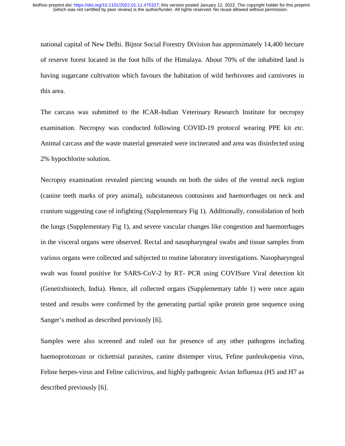national capital of New Delhi. Bijnor Social Forestry Division has approximately 14,400 hectare of reserve forest located in the foot hills of the Himalaya. About 70% of the inhabited land is having sugarcane cultivation which favours the habitation of wild herbivores and carnivores in this area.

The carcass was submitted to the ICAR-Indian Veterinary Research Institute for necropsy examination. Necropsy was conducted following COVID-19 protocol wearing PPE kit *etc*. Animal carcass and the waste material generated were incinerated and area was disinfected using 2% hypochlorite solution.

Necropsy examination revealed piercing wounds on both the sides of the ventral neck region (canine teeth marks of prey animal), subcutaneous contusions and haemorrhages on neck and cranium suggesting case of infighting (Supplementary Fig 1). Additionally, consolidation of both the lungs (Supplementary Fig 1), and severe vascular changes like congestion and haemorrhages in the visceral organs were observed. Rectal and nasopharyngeal swabs and tissue samples from various organs were collected and subjected to routine laboratory investigations. Nasopharyngeal swab was found positive for SARS-CoV-2 by RT- PCR using COVISure Viral detection kit (Genetixbiotech, India). Hence, all collected organs (Supplementary table 1) were once again tested and results were confirmed by the generating partial spike protein gene sequence using Sanger's method as described previously [6].

Samples were also screened and ruled out for presence of any other pathogens including haemoprotozoan or rickettsial parasites, canine distemper virus, Feline panleukopenia virus, Feline herpes-virus and Feline calicivirus, and highly pathogenic Avian Influenza (H5 and H7 as described previously [6].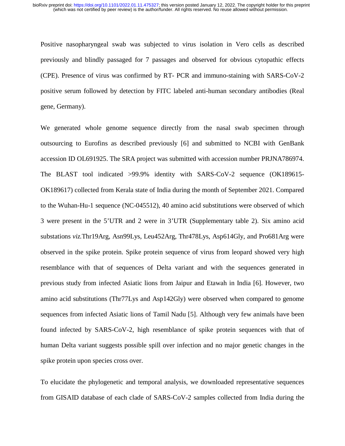Positive nasopharyngeal swab was subjected to virus isolation in Vero cells as described previously and blindly passaged for 7 passages and observed for obvious cytopathic effects (CPE). Presence of virus was confirmed by RT- PCR and immuno-staining with SARS-CoV-2 positive serum followed by detection by FITC labeled anti-human secondary antibodies (Real gene, Germany).

We generated whole genome sequence directly from the nasal swab specimen through outsourcing to Eurofins as described previously [6] and submitted to NCBI with GenBank accession ID OL691925. The SRA project was submitted with accession number PRJNA786974. The BLAST tool indicated >99.9% identity with SARS-CoV-2 sequence (OK189615- OK189617) collected from Kerala state of India during the month of September 2021. Compared to the Wuhan-Hu-1 sequence (NC-045512), 40 amino acid substitutions were observed of which 3 were present in the 5'UTR and 2 were in 3'UTR (Supplementary table 2). Six amino acid substations *viz.*Thr19Arg, Asn99Lys, Leu452Arg, Thr478Lys, Asp614Gly, and Pro681Arg were observed in the spike protein. Spike protein sequence of virus from leopard showed very high resemblance with that of sequences of Delta variant and with the sequences generated in previous study from infected Asiatic lions from Jaipur and Etawah in India [6]. However, two amino acid substitutions (Thr77Lys and Asp142Gly) were observed when compared to genome sequences from infected Asiatic lions of Tamil Nadu [5]. Although very few animals have been found infected by SARS-CoV-2, high resemblance of spike protein sequences with that of human Delta variant suggests possible spill over infection and no major genetic changes in the spike protein upon species cross over.

To elucidate the phylogenetic and temporal analysis, we downloaded representative sequences from GISAID database of each clade of SARS-CoV-2 samples collected from India during the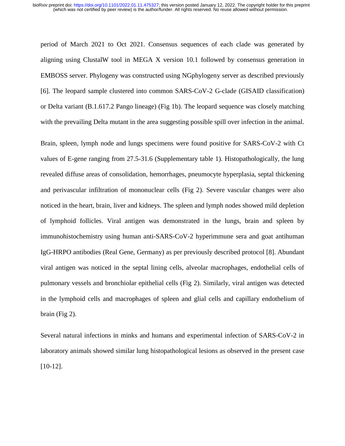period of March 2021 to Oct 2021. Consensus sequences of each clade was generated by aligning using ClustalW tool in MEGA X version 10.1 followed by consensus generation in EMBOSS server. Phylogeny was constructed using NGphylogeny server as described previously [6]. The leopard sample clustered into common SARS-CoV-2 G-clade (GISAID classification) or Delta variant (B.1.617.2 Pango lineage) (Fig 1b). The leopard sequence was closely matching with the prevailing Delta mutant in the area suggesting possible spill over infection in the animal.

Brain, spleen, lymph node and lungs specimens were found positive for SARS-CoV-2 with Ct values of E-gene ranging from 27.5-31.6 (Supplementary table 1). Histopathologically, the lung revealed diffuse areas of consolidation, hemorrhages, pneumocyte hyperplasia, septal thickening and perivascular infiltration of mononuclear cells (Fig 2). Severe vascular changes were also noticed in the heart, brain, liver and kidneys. The spleen and lymph nodes showed mild depletion of lymphoid follicles. Viral antigen was demonstrated in the lungs, brain and spleen by immunohistochemistry using human anti-SARS-CoV-2 hyperimmune sera and goat antihuman IgG-HRPO antibodies (Real Gene, Germany) as per previously described protocol [8]. Abundant viral antigen was noticed in the septal lining cells, alveolar macrophages, endothelial cells of pulmonary vessels and bronchiolar epithelial cells (Fig 2). Similarly, viral antigen was detected in the lymphoid cells and macrophages of spleen and glial cells and capillary endothelium of brain (Fig 2).

Several natural infections in minks and humans and experimental infection of SARS-CoV-2 in laboratory animals showed similar lung histopathological lesions as observed in the present case [10-12].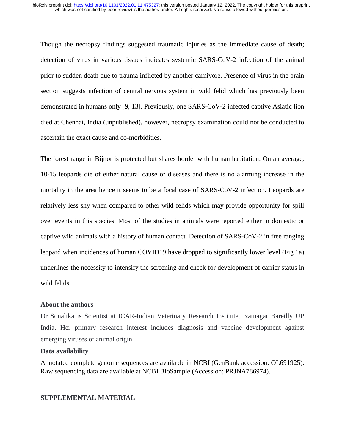Though the necropsy findings suggested traumatic injuries as the immediate cause of death; detection of virus in various tissues indicates systemic SARS-CoV-2 infection of the animal prior to sudden death due to trauma inflicted by another carnivore. Presence of virus in the brain section suggests infection of central nervous system in wild felid which has previously been demonstrated in humans only [9, 13]. Previously, one SARS-CoV-2 infected captive Asiatic lion died at Chennai, India (unpublished), however, necropsy examination could not be conducted to ascertain the exact cause and co-morbidities.

The forest range in Bijnor is protected but shares border with human habitation. On an average, 10-15 leopards die of either natural cause or diseases and there is no alarming increase in the mortality in the area hence it seems to be a focal case of SARS-CoV-2 infection. Leopards are relatively less shy when compared to other wild felids which may provide opportunity for spill over events in this species. Most of the studies in animals were reported either in domestic or captive wild animals with a history of human contact. Detection of SARS-CoV-2 in free ranging leopard when incidences of human COVID19 have dropped to significantly lower level (Fig 1a) underlines the necessity to intensify the screening and check for development of carrier status in wild felids.

## **About the authors**

Dr Sonalika is Scientist at ICAR-Indian Veterinary Research Institute, Izatnagar Bareilly UP India. Her primary research interest includes diagnosis and vaccine development against emerging viruses of animal origin.

## **Data availability**

Annotated complete genome sequences are available in NCBI (GenBank accession: OL691925). Raw sequencing data are available at NCBI BioSample (Accession; PRJNA786974).

## **SUPPLEMENTAL MATERIAL**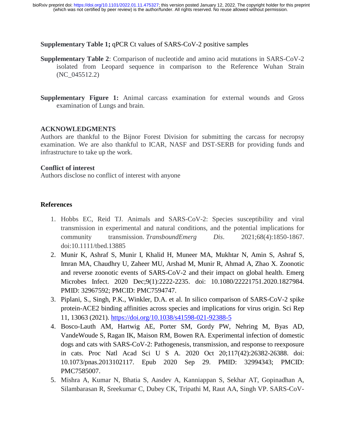#### **Supplementary Table 1;** qPCR Ct values of SARS-CoV-2 positive samples

- **Supplementary Table 2**: Comparison of nucleotide and amino acid mutations in SARS-CoV-2 isolated from Leopard sequence in comparison to the Reference Wuhan Strain (NC\_045512.2)
- **Supplementary Figure 1:** Animal carcass examination for external wounds and Gross examination of Lungs and brain.

#### **ACKNOWLEDGMENTS**

Authors are thankful to the Bijnor Forest Division for submitting the carcass for necropsy examination. We are also thankful to ICAR, NASF and DST-SERB for providing funds and infrastructure to take up the work.

#### **Conflict of interest**

Authors disclose no conflict of interest with anyone

## **References**

- 1. Hobbs EC, Reid TJ. Animals and SARS-CoV-2: Species susceptibility and viral transmission in experimental and natural conditions, and the potential implications for community transmission. *TransboundEmerg Dis*. 2021;68(4):1850-1867. doi:10.1111/tbed.13885
- 2. Munir K, Ashraf S, Munir I, Khalid H, Muneer MA, Mukhtar N, Amin S, Ashraf S, Imran MA, Chaudhry U, Zaheer MU, Arshad M, Munir R, Ahmad A, Zhao X. Zoonotic and reverse zoonotic events of SARS-CoV-2 and their impact on global health. Emerg Microbes Infect. 2020 Dec;9(1):2222-2235. doi: 10.1080/22221751.2020.1827984. PMID: 32967592; PMCID: PMC7594747.
- 3. Piplani, S., Singh, P.K., Winkler, D.A. et al. In silico comparison of SARS-CoV-2 spike protein-ACE2 binding affinities across species and implications for virus origin. Sci Rep 11, 13063 (2021). https://doi.org/10.1038/s41598-021-92388-5
- 4. Bosco-Lauth AM, Hartwig AE, Porter SM, Gordy PW, Nehring M, Byas AD, VandeWoude S, Ragan IK, Maison RM, Bowen RA. Experimental infection of domestic dogs and cats with SARS-CoV-2: Pathogenesis, transmission, and response to reexposure in cats. Proc Natl Acad Sci U S A. 2020 Oct 20;117(42):26382-26388. doi: 10.1073/pnas.2013102117. Epub 2020 Sep 29. PMID: 32994343; PMCID: PMC7585007.
- 5. Mishra A, Kumar N, Bhatia S, Aasdev A, Kanniappan S, Sekhar AT, Gopinadhan A, Silambarasan R, Sreekumar C, Dubey CK, Tripathi M, Raut AA, Singh VP. SARS-CoV-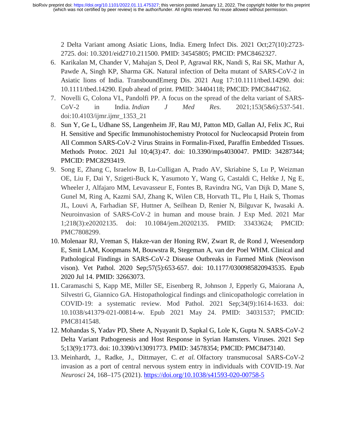2 Delta Variant among Asiatic Lions, India. Emerg Infect Dis. 2021 Oct;27(10):2723- 2725. doi: 10.3201/eid2710.211500. PMID: 34545805; PMCID: PMC8462327.

- 6. Karikalan M, Chander V, Mahajan S, Deol P, Agrawal RK, Nandi S, Rai SK, Mathur A, Pawde A, Singh KP, Sharma GK. Natural infection of Delta mutant of SARS-CoV-2 in Asiatic lions of India. TransboundEmerg Dis. 2021 Aug 17:10.1111/tbed.14290. doi: 10.1111/tbed.14290. Epub ahead of print. PMID: 34404118; PMCID: PMC8447162.
- 7. Novelli G, Colona VL, Pandolfi PP. A focus on the spread of the delta variant of SARS-CoV-2 in India. *Indian J Med Res*. 2021;153(5&6):537-541. doi:10.4103/ijmr.ijmr\_1353\_21
- 8. Sun Y, Ge L, Udhane SS, Langenheim JF, Rau MJ, Patton MD, Gallan AJ, Felix JC, Rui H. Sensitive and Specific Immunohistochemistry Protocol for Nucleocapsid Protein from All Common SARS-CoV-2 Virus Strains in Formalin-Fixed, Paraffin Embedded Tissues. Methods Protoc. 2021 Jul 10;4(3):47. doi: 10.3390/mps4030047. PMID: 34287344; PMCID: PMC8293419.
- 9. Song E, Zhang C, Israelow B, Lu-Culligan A, Prado AV, Skriabine S, Lu P, Weizman OE, Liu F, Dai Y, Szigeti-Buck K, Yasumoto Y, Wang G, Castaldi C, Heltke J, Ng E, Wheeler J, Alfajaro MM, Levavasseur E, Fontes B, Ravindra NG, Van Dijk D, Mane S, Gunel M, Ring A, Kazmi SAJ, Zhang K, Wilen CB, Horvath TL, Plu I, Haik S, Thomas JL, Louvi A, Farhadian SF, Huttner A, Seilhean D, Renier N, Bilguvar K, Iwasaki A. Neuroinvasion of SARS-CoV-2 in human and mouse brain. J Exp Med. 2021 Mar 1;218(3):e20202135. doi: 10.1084/jem.20202135. PMID: 33433624; PMCID: PMC7808299.
- 10. Molenaar RJ, Vreman S, Hakze-van der Honing RW, Zwart R, de Rond J, Weesendorp E, Smit LAM, Koopmans M, Bouwstra R, Stegeman A, van der Poel WHM. Clinical and Pathological Findings in SARS-CoV-2 Disease Outbreaks in Farmed Mink (Neovison vison). Vet Pathol. 2020 Sep;57(5):653-657. doi: 10.1177/0300985820943535. Epub 2020 Jul 14. PMID: 32663073.
- 11. Caramaschi S, Kapp ME, Miller SE, Eisenberg R, Johnson J, Epperly G, Maiorana A, Silvestri G, Giannico GA. Histopathological findings and clinicopathologic correlation in COVID-19: a systematic review. Mod Pathol. 2021 Sep;34(9):1614-1633. doi: 10.1038/s41379-021-00814-w. Epub 2021 May 24. PMID: 34031537; PMCID: PMC8141548.
- 12. Mohandas S, Yadav PD, Shete A, Nyayanit D, Sapkal G, Lole K, Gupta N. SARS-CoV-2 Delta Variant Pathogenesis and Host Response in Syrian Hamsters. Viruses. 2021 Sep 5;13(9):1773. doi: 10.3390/v13091773. PMID: 34578354; PMCID: PMC8473140.
- 13. Meinhardt, J., Radke, J., Dittmayer, C. *et al.* Olfactory transmucosal SARS-CoV-2 invasion as a port of central nervous system entry in individuals with COVID-19. *Nat Neurosci* 24, 168–175 (2021). https://doi.org/10.1038/s41593-020-00758-5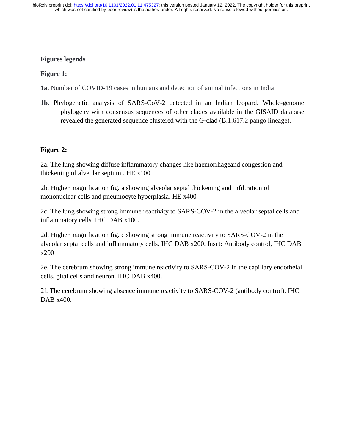# **Figures legends**

# **Figure 1:**

**1a.** Number of COVID-19 cases in humans and detection of animal infections in India

**1b.** Phylogenetic analysis of SARS-CoV-2 detected in an Indian leopard. Whole-genome phylogeny with consensus sequences of other clades available in the GISAID database revealed the generated sequence clustered with the G-clad (B.1.617.2 pango lineage).

# **Figure 2:**

2a. The lung showing diffuse inflammatory changes like haemorrhageand congestion and thickening of alveolar septum . HE x100

2b. Higher magnification fig. a showing alveolar septal thickening and infiltration of mononuclear cells and pneumocyte hyperplasia. HE x400

2c. The lung showing strong immune reactivity to SARS-COV-2 in the alveolar septal cells and inflammatory cells. IHC DAB x100.

2d. Higher magnification fig. c showing strong immune reactivity to SARS-COV-2 in the alveolar septal cells and inflammatory cells. IHC DAB x200. Inset: Antibody control, IHC DAB x200

2e. The cerebrum showing strong immune reactivity to SARS-COV-2 in the capillary endotheial cells, glial cells and neuron. IHC DAB x400.

2f. The cerebrum showing absence immune reactivity to SARS-COV-2 (antibody control). IHC DAB x400.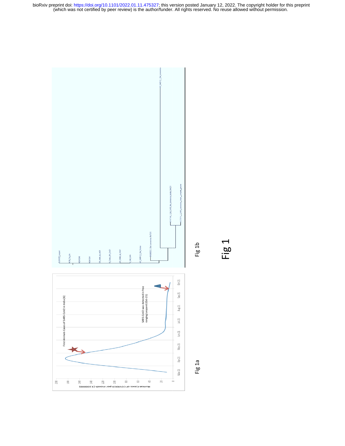(which was not certified by peer review) is the author/funder. All rights reserved. No reuse allowed without permission. bioRxiv preprint doi: [https://doi.org/10.1101/2022.01.11.475327;](https://doi.org/10.1101/2022.01.11.475327) this version posted January 12, 2022. The copyright holder for this preprint



Fig 1